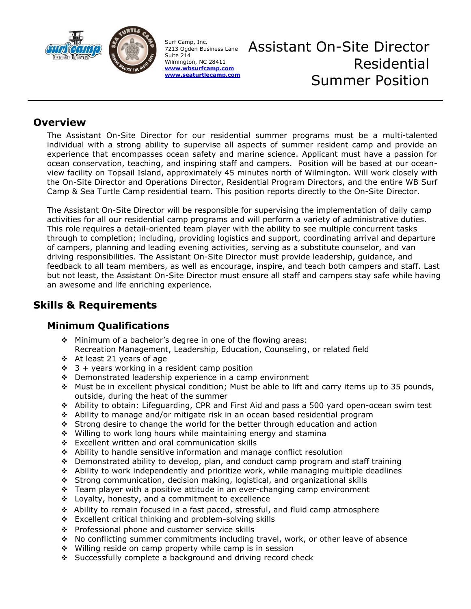

Surf Camp, Inc. 7213 Ogden Business Lane Suite 214 Wilmington, NC 28411 **[www.wbsurfcamp.com](http://www.wbsurfcamp.com/) [www.seaturtlecamp.com](http://www.seaturtlecamp.com/)** Assistant On-Site Director Residential Summer Position

### **Overview**

The Assistant On-Site Director for our residential summer programs must be a multi-talented individual with a strong ability to supervise all aspects of summer resident camp and provide an experience that encompasses ocean safety and marine science. Applicant must have a passion for ocean conservation, teaching, and inspiring staff and campers. Position will be based at our oceanview facility on Topsail Island, approximately 45 minutes north of Wilmington. Will work closely with the On-Site Director and Operations Director, Residential Program Directors, and the entire WB Surf Camp & Sea Turtle Camp residential team. This position reports directly to the On-Site Director.

The Assistant On-Site Director will be responsible for supervising the implementation of daily camp activities for all our residential camp programs and will perform a variety of administrative duties. This role requires a detail-oriented team player with the ability to see multiple concurrent tasks through to completion; including, providing logistics and support, coordinating arrival and departure of campers, planning and leading evening activities, serving as a substitute counselor, and van driving responsibilities. The Assistant On-Site Director must provide leadership, guidance, and feedback to all team members, as well as encourage, inspire, and teach both campers and staff. Last but not least, the Assistant On-Site Director must ensure all staff and campers stay safe while having an awesome and life enriching experience.

# **Skills & Requirements**

### **Minimum Qualifications**

- ❖ Minimum of a bachelor's degree in one of the flowing areas: Recreation Management, Leadership, Education, Counseling, or related field
- ❖ At least 21 years of age
- $\div$  3 + years working in a resident camp position
- ❖ Demonstrated leadership experience in a camp environment
- ❖ Must be in excellent physical condition; Must be able to lift and carry items up to 35 pounds, outside, during the heat of the summer
- ❖ Ability to obtain: Lifeguarding, CPR and First Aid and pass a 500 yard open-ocean swim test
- ❖ Ability to manage and/or mitigate risk in an ocean based residential program
- ❖ Strong desire to change the world for the better through education and action
- ❖ Willing to work long hours while maintaining energy and stamina
- ❖ Excellent written and oral communication skills
- ❖ Ability to handle sensitive information and manage conflict resolution
- ❖ Demonstrated ability to develop, plan, and conduct camp program and staff training
- ❖ Ability to work independently and prioritize work, while managing multiple deadlines
- ❖ Strong communication, decision making, logistical, and organizational skills
- ❖ Team player with a positive attitude in an ever-changing camp environment
- ❖ Loyalty, honesty, and a commitment to excellence
- ❖ Ability to remain focused in a fast paced, stressful, and fluid camp atmosphere
- ❖ Excellent critical thinking and problem-solving skills
- ❖ Professional phone and customer service skills
- ❖ No conflicting summer commitments including travel, work, or other leave of absence
- ❖ Willing reside on camp property while camp is in session
- ❖ Successfully complete a background and driving record check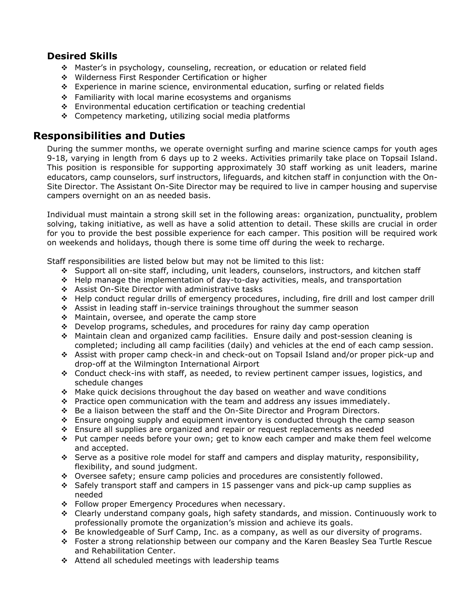#### **Desired Skills**

- ❖ Master's in psychology, counseling, recreation, or education or related field
- ❖ Wilderness First Responder Certification or higher
- ❖ Experience in marine science, environmental education, surfing or related fields
- ❖ Familiarity with local marine ecosystems and organisms
- ❖ Environmental education certification or teaching credential
- ❖ Competency marketing, utilizing social media platforms

#### **Responsibilities and Duties**

During the summer months, we operate overnight surfing and marine science camps for youth ages 9-18, varying in length from 6 days up to 2 weeks. Activities primarily take place on Topsail Island. This position is responsible for supporting approximately 30 staff working as unit leaders, marine educators, camp counselors, surf instructors, lifeguards, and kitchen staff in conjunction with the On-Site Director. The Assistant On-Site Director may be required to live in camper housing and supervise campers overnight on an as needed basis.

Individual must maintain a strong skill set in the following areas: organization, punctuality, problem solving, taking initiative, as well as have a solid attention to detail. These skills are crucial in order for you to provide the best possible experience for each camper. This position will be required work on weekends and holidays, though there is some time off during the week to recharge.

Staff responsibilities are listed below but may not be limited to this list:

- ❖ Support all on-site staff, including, unit leaders, counselors, instructors, and kitchen staff
- ❖ Help manage the implementation of day-to-day activities, meals, and transportation
- ❖ Assist On-Site Director with administrative tasks
- ❖ Help conduct regular drills of emergency procedures, including, fire drill and lost camper drill
- ❖ Assist in leading staff in-service trainings throughout the summer season
- ❖ Maintain, oversee, and operate the camp store
- ❖ Develop programs, schedules, and procedures for rainy day camp operation
- ❖ Maintain clean and organized camp facilities. Ensure daily and post-session cleaning is completed; including all camp facilities (daily) and vehicles at the end of each camp session.
- ❖ Assist with proper camp check-in and check-out on Topsail Island and/or proper pick-up and drop-off at the Wilmington International Airport
- ❖ Conduct check-ins with staff, as needed, to review pertinent camper issues, logistics, and schedule changes
- ❖ Make quick decisions throughout the day based on weather and wave conditions
- ❖ Practice open communication with the team and address any issues immediately.
- ❖ Be a liaison between the staff and the On-Site Director and Program Directors.
- ❖ Ensure ongoing supply and equipment inventory is conducted through the camp season
- ❖ Ensure all supplies are organized and repair or request replacements as needed
- ❖ Put camper needs before your own; get to know each camper and make them feel welcome and accepted.
- ❖ Serve as a positive role model for staff and campers and display maturity, responsibility, flexibility, and sound judgment.
- ❖ Oversee safety; ensure camp policies and procedures are consistently followed.
- ❖ Safely transport staff and campers in 15 passenger vans and pick-up camp supplies as needed
- ❖ Follow proper Emergency Procedures when necessary.
- ❖ Clearly understand company goals, high safety standards, and mission. Continuously work to professionally promote the organization's mission and achieve its goals.
- ❖ Be knowledgeable of Surf Camp, Inc. as a company, as well as our diversity of programs.
- ❖ Foster a strong relationship between our company and the Karen Beasley Sea Turtle Rescue and Rehabilitation Center.
- ❖ Attend all scheduled meetings with leadership teams